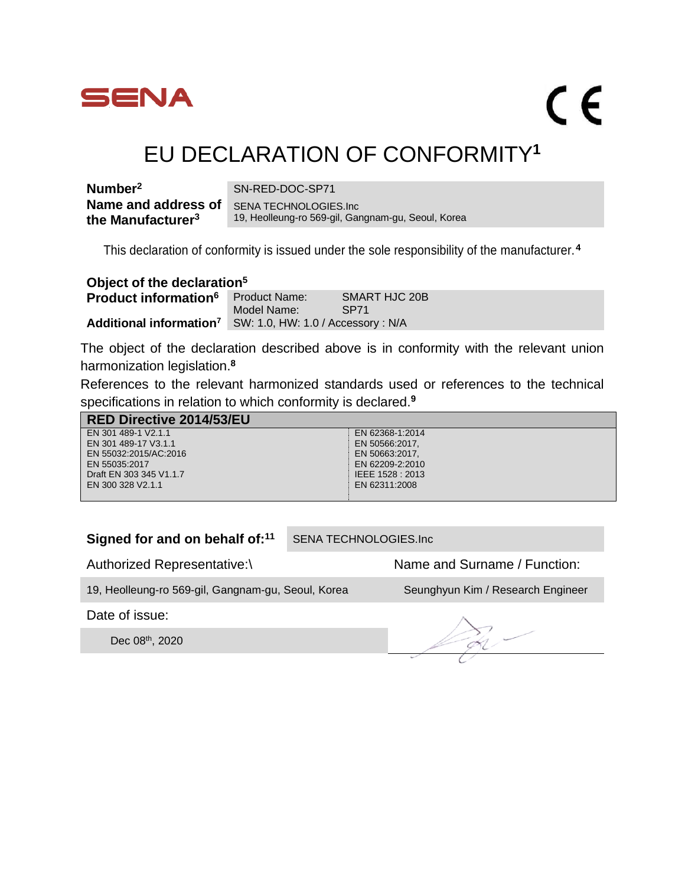

 $\epsilon$ 

## EU DECLARATION OF CONFORMITY**<sup>1</sup>**

| Number <sup>2</sup>           | SN-RED-DOC-SP71                                    |
|-------------------------------|----------------------------------------------------|
| Name and address of           | SENA TECHNOLOGIES.Inc                              |
| the Manufacturer <sup>3</sup> | 19, Heolleung-ro 569-gil, Gangnam-gu, Seoul, Korea |

This declaration of conformity is issued under the sole responsibility of the manufacturer.**<sup>4</sup>**

| Object of the declaration <sup>5</sup> |                                                                        |                              |  |
|----------------------------------------|------------------------------------------------------------------------|------------------------------|--|
| Product information <sup>6</sup>       | <b>Product Name:</b><br>Model Name:                                    | SMART HJC 20B<br><b>SP71</b> |  |
|                                        | Additional information <sup>7</sup> SW: 1.0, HW: 1.0 / Accessory : N/A |                              |  |

The object of the declaration described above is in conformity with the relevant union harmonization legislation.**<sup>8</sup>**

References to the relevant harmonized standards used or references to the technical specifications in relation to which conformity is declared.**<sup>9</sup>**

| <b>RED Directive 2014/53/EU</b> |                  |
|---------------------------------|------------------|
| EN 301 489-1 V2.1.1             | EN 62368-1:2014  |
| EN 301 489-17 V3.1.1            | EN 50566:2017.   |
| EN 55032:2015/AC:2016           | EN 50663:2017.   |
| EN 55035:2017                   | EN 62209-2:2010  |
| Draft EN 303 345 V1.1.7         | IEEE 1528 : 2013 |
| EN 300 328 V2.1.1               | EN 62311:2008    |
|                                 |                  |

## **Signed for and on behalf of:<sup>11</sup>** SENA TECHNOLOGIES.Inc

Authorized Representative:\ Name and Surname / Function:

19, Heolleung-ro 569-gil, Gangnam-gu, Seoul, Korea Seunghyun Kim / Research Engineer

Date of issue:

Dec 08th , 2020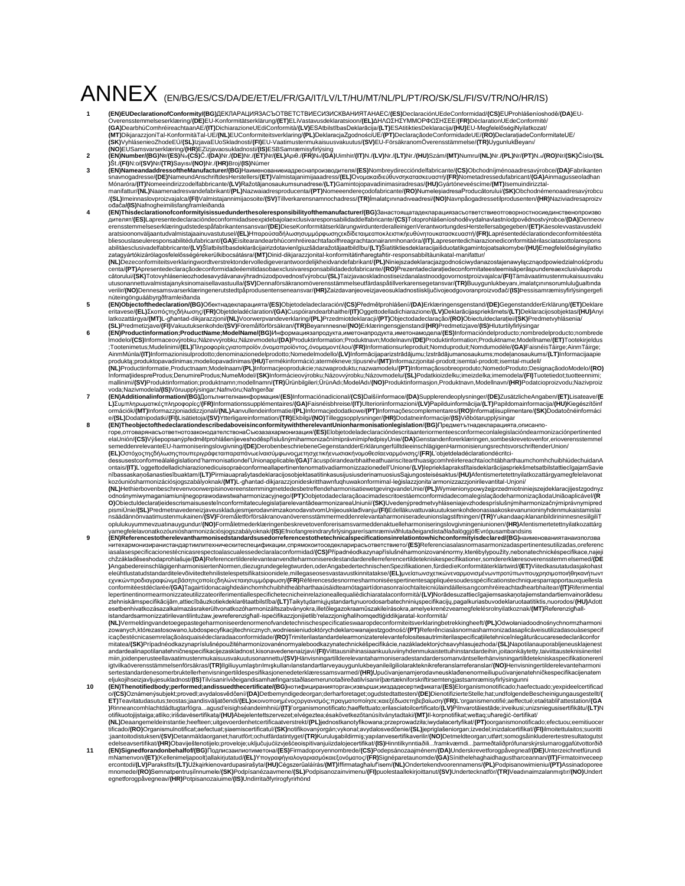## ANNEX (EN/BG/ES/CS/DA/DE/ET/EL/FR/GA/IT/LV/LT/HU/MT/NL/PL/PT/RO/SK/SL/FI/SV/TR/NO/HR/IS)

- (EN)EUDeclarationofConformity/(IBG)IEKI)APALIV/R3ACЪOTBETCTBVEC/XBJ/CKBAHV/RTAHAEC/(ES)DeclarationofConformitad/(CS)EU-<br>Overensstemmelseserklæring/(IDG)IEKI)APALIV/R3ACЪOTBETCIVAstavusdeklaratsioon/(EL)AH∧ΩΣHΣΥΜΜΟΡΦΩΣHΣΕ
- 
- (EN)Nameandaddresser(MeManufacturer/(BG)Haume-nopa-memperaturer/Respective for the thermal and the same of the<br>Shaw and the specific server in the specific server (DS)Haume-memperaturer (CS)Namenter (CS)Namenter (CS)Name
- ođača**/(IS)**Nafnogheimilisfangframleiðanda<br>**4 GEN)Thisdeclarationofconformityisissuedunderthesoleresponsibilityofthemanufacturer/(BG)Занастоящатадекларациязасъответствиеотговорностносиединственопроизво**
- дителят/**(ES)**Lapresentedeclaracióndeconformidadseexpidebajolaexclusivaresponsabilidaddelfabricante/**(CS)**Totoprohlášeníoshoděvydalnavlastníodpovědnostvýrobce/(DA)Denneov<br>erensstemmelseserklæringudstedespáfabrikantensansv bliesouslaseuleresponsabilitédufabricant/(GA)Eisítearandearbhúcomhréireachtafaoifhreagrachtaonairammhonaróra/(IT)Lapresentedichiarazionediconformitàèrilasciatasottolarespons<br>abilitàesclusivadelfabbricante/(LV)ŠTatbilstības
- utusonannettuvalmistajanyksinomaisellavastuulla/**(SV)**Dennaförsäkranomöverensstämmelseutfärdaspåtillverkarensegetansvar/**(TR)**Buuygunlukbeyanı,imalatçınınsorumluluğualtında<br>verilir/**(NO)**Dennesamsvarserklæringenerutstedtpå núteingönguáábyrgðframleiðanda
- (EN)Objectofthedeclaration/(BG)Οδeκτнaдeκлapaциятa/(ES)Objetodeladeclaración/(CS)Předmětprohlášení/(DA)Erklæringensgenstand/(DE)GegenstandderErklärung/(ET)Deklare<br>httavese/(EL)Σκοπόςτηςδήλωσης/(FR)Objetdeladéclaration/(G
- (EN)Productinformation;ProductName;ModelName/(BG)Информациязапродукта,иметонапродукта,иметонамодела/(ES)Informacióndelproducto;nombredelproducto;nombredelproducto;nombredelproducto;nombredelproducto;nombredelproducto;nomb ;Tootenimetus;Mudelinimi/**(EL)**Πληροφορίεςγιατοπροϊόν,όνομαπροϊόντος,όνομαμοντέλου/**(FR)**Informationsurleproduit;Nomduproduit;Nomdumodèle/**(GA)**FaisnéisTáirge;AinmTáirge;<br>AinmMúnla/(IT)Informazionisulprodotto;denominazion **(NL)**Productinformatie,Productnaam;Modelnaam/**(PL)**Informacjeoprodukcie;nazwaproduktu;nazwamodelu/**(PT)**Informaçãosobreoproduto;NomedoProduto;DesignaçãodoModelo/**(RO)**<br>InformatiidespreProdus;DenumireProdus;NumeModel/**(SK)**
- mallinimi/**(SV)**Produktinformation;produktnamn;modellnamn/**(TR**)Ūrūnbilgileri;ŪrūnAdı;ModelAdı/**(NO)**Produktinformasjon,Produktnavn,Modellnavn/**(HR)**Podatcioproizvodu;Nazivproiz<br>voda;Nazivmodela**/(BS)**Vöruupplýsingar;Nafn L)Συμπληρωματικέςπληροφορίες/(FR)Informationssupplémentaires/(GA)Faisnéisbhreise/(IT)Ulterioriinformazioni/(LV)Papilduinformācija/(LT)Papildomainformacija/(HU)Kiegészítőinf<br>ormációk/(MT)Informazzjoniaddizzjonali/(NL)Aanvu
- e/(EN)Dodatnipodatki**/(FI)**Lisätietoia/**(SV)Ytterligareinformation/(TR)Etbilgareinformation/TR)Philegascophysninger/(HR)Dodatneinformation/EGI)Dodatneinformation/EGI)Nibotofarupphysingare<br>(ЕМ)Theobjectoffthedeclarationdes**
- **(EL)**Οστόχοςτηςδήλωσηςπουπεριγράφεταιπαραπάνωείναισύμφωνοςμετησχετικήενωσιακήνομοθεσίαεναρμόνισης/**(FR)**L'objetdeladéclarationdécritcidessusestconformeàlalégislationd'harmonisationdel'Unionapplicable/**(GA)**TácuspóirandearbhaitheathuariscítearthuasigcomhréirlereachtaíochtábharthaumchomhchuibhiúdechuidanA<br>nītais/**(IT)**L'oggettodelladichiarazionedicusopraèc
- **(NL)**HethierbovenbeschrevenvoorwerpisinovereenstemmingmetdedesbetreffendeharmonisatiewetgevingvandeUnie/**(PL)**Wymienionypowyżejprzedmiotniniejszejdeklaracjijestzgodnyz<br>odnośnymiwymaganiamiunijnegoprawodawstwaharmonizacyjn pismiUnie**/(SL)**PredmetnavedeneizjaveuskladujesmjerodavnimzakonodavstvomUnijeousklađivanju**/(Fl)**Edelläkuvattuvakuutuksenkohdeonasiaakoskevanunioninyhdenmukaistamislai<br>nsäädämönvaatimustenmukainen/**(SV)**Föremåletförtöäkran
- yamegfelelavonatkozóunióshamonizációsjogszabályoknak/(IS)EfniofangreindraryfirlýsingarerísamræmiviðhlutaðeigandistaðlaðalöggjöfEvrópusambandsins<br>(EN)Referencestotherelevantharmonisedstandardsusedorreferencestothetechnical нитехармонизиранистандартиилитехническитеспецификации,спрямокоитоседекларирасъответствието/**(ES)**Referenciasalasnormasarmonizadaspertinentesutilizadas,oreferenc<br>iasalasespecificacionestécnicasrespectoalascualescedeclarala )AngabedereinschlägigenharmonisiertenNormen,diezugrundegelegtwurden,oderAngabedertechnischenSpezifikationen,fürdiedieKonformitäterklärtwird/(ET)Viitedkasutatudasjakohast<br>eleühtlustatudstandarditelevõiviitedtehnilistelespe εχνικώνπροδιαγραφώνμεβάσητιςοποίεςδηλώνεταιησυμμόρφωση/**(FR)**Référencesdesnormesharmoniséespertinentesappliquéesoudesspécificationstechniquesparrapportauxquellesla<br>conformitéestdéclarée/**(GA)**Tagairtídonacaighdeáinchomhc lepertinentinormearmonizzateutilizzateoriferimentiallespecifichetecnicheinrelazioneallequalièdichiaratalaconformità/(LV)Norādesuzattiecīgajiemsaskanotajiemstandartiemvainorādesu<br>ztehniskāmspecifikācijām,attiecībāuzkotiekde istandardsarmonizzatirilevantilintużaw,jewreferenzigħall-ispeċifikazzjonijietlib'relazzjonigħalihomqedtiġiddikjaratal-konformità/<br>**(NL)**Vermeldingvandetoegepastegeharmoniseerdenormenofvandetechnischespecificatieswaaropdeco

zowanych,którezastosowano,lubdospecyfikacjitechnicznych,wodniesieniudoktórychdeklarowanajestzgodność/**(PT)**Referênciasàsnormasharmonizadasaplicáveisutilizadasouàsespecif<br>icaçõestécnicasemrelaçãoàsquaisédeclaradaaconformida mitatea/**(SK)**Prípadnéodkazynapríslušnépoužitéharmonizovanénormyaleboodkazynatechnickéšpecifikácie,nazákladektorýchsavyhlasujezhoda/**(SL)**Napotilanauporabljeneusklajenest andardealinapotilanatehničnespecifikacijezaskladnost,kisonavedenenaizjavi/**(FI)**Viittausniihinasiaankuuluviinyhdenmukaistettuihinstandardeihin,joitaonkäytetty,taiviittausteknisiineritel<br>miin,joidenperusteellavaatimustenmuk igtvilkaöverensstämmelsenförsäkras/**(TR)**llgiliuyumlaştırılmışkullanılanstandartlarveyauygunlukbeyanileilgiliolarakteknikreferanslarreferanslar/(NO)Henvisningertilderelevanteharmoni<br>sertestandardenesomerbruktellerhenvisnin

- (CN)Thenotifiedbody;performed;andissuedthecerificati(BG)inorudyuapaims/interactional (CN)Clear (CN)Clear (CN)Clear (CN)Clear (CN)Clear (CN)Clear (CN)Clear (CN)Clear (CN)Clear (CN)Clear (CN)Clear (CN)Clear (CN)Clear (CN)Cl
-